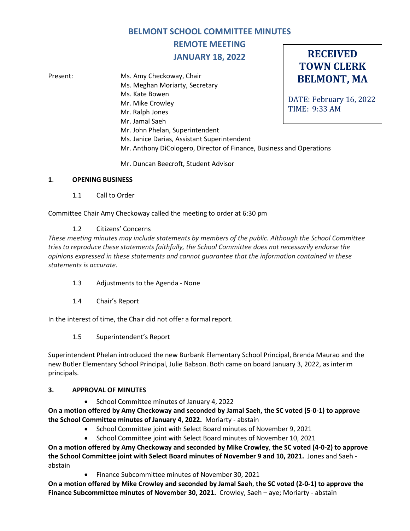## **BELMONT SCHOOL COMMITTEE MINUTES**

# **REMOTE MEETING JANUARY 18, 2022**

**RECEIVED TOWN CLERK**

**BELMONT, MA** DATE: February 16, 2022 TIME: 9:33 AM Present: Ms. Amy Checkoway, Chair Ms. Meghan Moriarty, Secretary Ms. Kate Bowen Mr. Mike Crowley Mr. Ralph Jones Mr. Jamal Saeh Mr. John Phelan, Superintendent Ms. Janice Darias, Assistant Superintendent Mr. Anthony DiCologero, Director of Finance, Business and Operations

Mr. Duncan Beecroft, Student Advisor

## **1**. **OPENING BUSINESS**

1.1 Call to Order

Committee Chair Amy Checkoway called the meeting to order at 6:30 pm

## 1.2 Citizens' Concerns

*These meeting minutes may include statements by members of the public. Although the School Committee tries to reproduce these statements faithfully, the School Committee does not necessarily endorse the opinions expressed in these statements and cannot guarantee that the information contained in these statements is accurate.*

- 1.3 Adjustments to the Agenda None
- 1.4 Chair's Report

In the interest of time, the Chair did not offer a formal report.

1.5 Superintendent's Report

Superintendent Phelan introduced the new Burbank Elementary School Principal, Brenda Maurao and the new Butler Elementary School Principal, Julie Babson. Both came on board January 3, 2022, as interim principals.

#### **3. APPROVAL OF MINUTES**

• School Committee minutes of January 4, 2022

**On a motion offered by Amy Checkoway and seconded by Jamal Saeh, the SC voted (5-0-1) to approve the School Committee minutes of January 4, 2022.** Moriarty - abstain

- School Committee joint with Select Board minutes of November 9, 2021
- School Committee joint with Select Board minutes of November 10, 2021

**On a motion offered by Amy Checkoway and seconded by Mike Crowley**, **the SC voted (4-0-2) to approve the School Committee joint with Select Board minutes of November 9 and 10, 2021.** Jones and Saeh abstain

• Finance Subcommittee minutes of November 30, 2021

**On a motion offered by Mike Crowley and seconded by Jamal Saeh**, **the SC voted (2-0-1) to approve the Finance Subcommittee minutes of November 30, 2021.** Crowley, Saeh – aye; Moriarty - abstain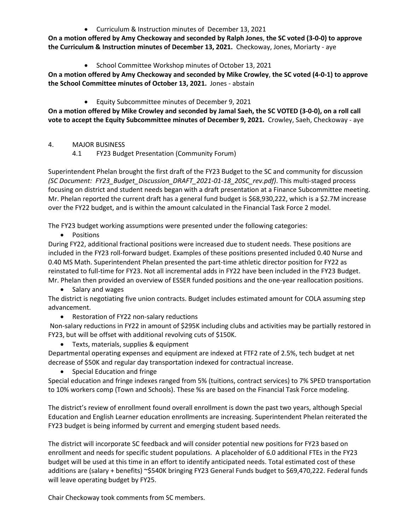• Curriculum & Instruction minutes of December 13, 2021

**On a motion offered by Amy Checkoway and seconded by Ralph Jones**, **the SC voted (3-0-0) to approve the Curriculum & Instruction minutes of December 13, 2021.** Checkoway, Jones, Moriarty - aye

• School Committee Workshop minutes of October 13, 2021

**On a motion offered by Amy Checkoway and seconded by Mike Crowley**, **the SC voted (4-0-1) to approve the School Committee minutes of October 13, 2021.** Jones - abstain

• Equity Subcommittee minutes of December 9, 2021

**On a motion offered by Mike Crowley and seconded by Jamal Saeh, the SC VOTED (3-0-0), on a roll call vote to accept the Equity Subcommittee minutes of December 9, 2021.** Crowley, Saeh, Checkoway - aye

## 4. MAJOR BUSINESS

4.1 FY23 Budget Presentation (Community Forum)

Superintendent Phelan brought the first draft of the FY23 Budget to the SC and community for discussion *(SC Document: FY23\_Budget\_Discussion\_DRAFT\_2021-01-18\_20SC\_rev.pdf)*. This multi-staged process focusing on district and student needs began with a draft presentation at a Finance Subcommittee meeting. Mr. Phelan reported the current draft has a general fund budget is \$68,930,222, which is a \$2.7M increase over the FY22 budget, and is within the amount calculated in the Financial Task Force 2 model.

The FY23 budget working assumptions were presented under the following categories:

• Positions

During FY22, additional fractional positions were increased due to student needs. These positions are included in the FY23 roll-forward budget. Examples of these positions presented included 0.40 Nurse and 0.40 MS Math. Superintendent Phelan presented the part-time athletic director position for FY22 as reinstated to full-time for FY23. Not all incremental adds in FY22 have been included in the FY23 Budget. Mr. Phelan then provided an overview of ESSER funded positions and the one-year reallocation positions.

• Salary and wages

The district is negotiating five union contracts. Budget includes estimated amount for COLA assuming step advancement.

• Restoration of FY22 non-salary reductions

Non-salary reductions in FY22 in amount of \$295K including clubs and activities may be partially restored in FY23, but will be offset with additional revolving cuts of \$150K.

• Texts, materials, supplies & equipment

Departmental operating expenses and equipment are indexed at FTF2 rate of 2.5%, tech budget at net decrease of \$50K and regular day transportation indexed for contractual increase.

• Special Education and fringe

Special education and fringe indexes ranged from 5% (tuitions, contract services) to 7% SPED transportation to 10% workers comp (Town and Schools). These %s are based on the Financial Task Force modeling.

The district's review of enrollment found overall enrollment is down the past two years, although Special Education and English Learner education enrollments are increasing. Superintendent Phelan reiterated the FY23 budget is being informed by current and emerging student based needs.

The district will incorporate SC feedback and will consider potential new positions for FY23 based on enrollment and needs for specific student populations. A placeholder of 6.0 additional FTEs in the FY23 budget will be used at this time in an effort to identify anticipated needs. Total estimated cost of these additions are (salary + benefits) ~\$540K bringing FY23 General Funds budget to \$69,470,222. Federal funds will leave operating budget by FY25.

Chair Checkoway took comments from SC members.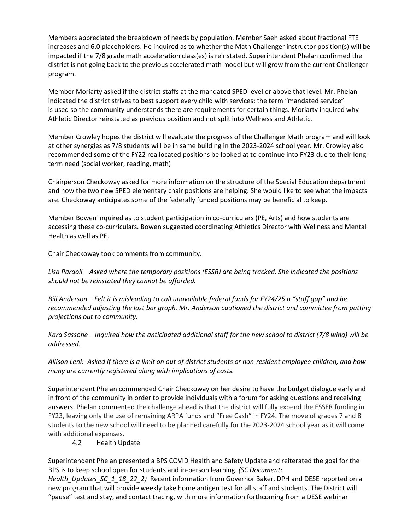Members appreciated the breakdown of needs by population. Member Saeh asked about fractional FTE increases and 6.0 placeholders. He inquired as to whether the Math Challenger instructor position(s) will be impacted if the 7/8 grade math acceleration class(es) is reinstated. Superintendent Phelan confirmed the district is not going back to the previous accelerated math model but will grow from the current Challenger program.

Member Moriarty asked if the district staffs at the mandated SPED level or above that level. Mr. Phelan indicated the district strives to best support every child with services; the term "mandated service" is used so the community understands there are requirements for certain things. Moriarty inquired why Athletic Director reinstated as previous position and not split into Wellness and Athletic.

Member Crowley hopes the district will evaluate the progress of the Challenger Math program and will look at other synergies as 7/8 students will be in same building in the 2023-2024 school year. Mr. Crowley also recommended some of the FY22 reallocated positions be looked at to continue into FY23 due to their longterm need (social worker, reading, math)

Chairperson Checkoway asked for more information on the structure of the Special Education department and how the two new SPED elementary chair positions are helping. She would like to see what the impacts are. Checkoway anticipates some of the federally funded positions may be beneficial to keep.

Member Bowen inquired as to student participation in co-curriculars (PE, Arts) and how students are accessing these co-curriculars. Bowen suggested coordinating Athletics Director with Wellness and Mental Health as well as PE.

Chair Checkoway took comments from community.

*Lisa Pargoli – Asked where the temporary positions (ESSR) are being tracked. She indicated the positions should not be reinstated they cannot be afforded.* 

*Bill Anderson – Felt it is misleading to call unavailable federal funds for FY24/25 a "staff gap" and he recommended adjusting the last bar graph. Mr. Anderson cautioned the district and committee from putting projections out to community.* 

*Kara Sassone – Inquired how the anticipated additional staff for the new school to district (7/8 wing) will be addressed.*

*Allison Lenk- Asked if there is a limit on out of district students or non-resident employee children, and how many are currently registered along with implications of costs.* 

Superintendent Phelan commended Chair Checkoway on her desire to have the budget dialogue early and in front of the community in order to provide individuals with a forum for asking questions and receiving answers. Phelan commented the challenge ahead is that the district will fully expend the ESSER funding in FY23, leaving only the use of remaining ARPA funds and "Free Cash" in FY24. The move of grades 7 and 8 students to the new school will need to be planned carefully for the 2023-2024 school year as it will come with additional expenses.

4.2 Health Update

Superintendent Phelan presented a BPS COVID Health and Safety Update and reiterated the goal for the BPS is to keep school open for students and in-person learning. *(SC Document:* 

*Health\_Updates\_SC\_1\_18\_22\_2)* Recent information from Governor Baker, DPH and DESE reported on a new program that will provide weekly take home antigen test for all staff and students. The District will "pause" test and stay, and contact tracing, with more information forthcoming from a DESE webinar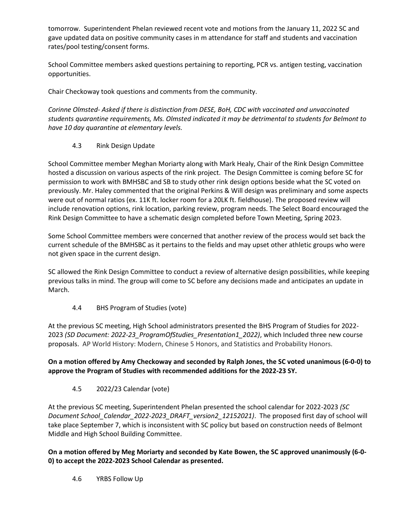tomorrow. Superintendent Phelan reviewed recent vote and motions from the January 11, 2022 SC and gave updated data on positive community cases in m attendance for staff and students and vaccination rates/pool testing/consent forms.

School Committee members asked questions pertaining to reporting, PCR vs. antigen testing, vaccination opportunities.

Chair Checkoway took questions and comments from the community.

*Corinne Olmsted- Asked if there is distinction from DESE, BoH, CDC with vaccinated and unvaccinated students quarantine requirements, Ms. Olmsted indicated it may be detrimental to students for Belmont to have 10 day quarantine at elementary levels.*

## 4.3 Rink Design Update

School Committee member Meghan Moriarty along with Mark Healy, Chair of the Rink Design Committee hosted a discussion on various aspects of the rink project. The Design Committee is coming before SC for permission to work with BMHSBC and SB to study other rink design options beside what the SC voted on previously. Mr. Haley commented that the original Perkins & Will design was preliminary and some aspects were out of normal ratios (ex. 11K ft. locker room for a 20LK ft. fieldhouse). The proposed review will include renovation options, rink location, parking review, program needs. The Select Board encouraged the Rink Design Committee to have a schematic design completed before Town Meeting, Spring 2023.

Some School Committee members were concerned that another review of the process would set back the current schedule of the BMHSBC as it pertains to the fields and may upset other athletic groups who were not given space in the current design.

SC allowed the Rink Design Committee to conduct a review of alternative design possibilities, while keeping previous talks in mind. The group will come to SC before any decisions made and anticipates an update in March.

4.4 BHS Program of Studies (vote)

At the previous SC meeting, High School administrators presented the BHS Program of Studies for 2022- 2023 *(SD Document: 2022-23\_ProgramOfStudies\_Presentation1\_2022)*, which Included three new course proposals. AP World History: Modern, Chinese 5 Honors, and Statistics and Probability Honors.

## **On a motion offered by Amy Checkoway and seconded by Ralph Jones, the SC voted unanimous (6-0-0) to approve the Program of Studies with recommended additions for the 2022-23 SY.**

4.5 2022/23 Calendar (vote)

At the previous SC meeting, Superintendent Phelan presented the school calendar for 2022-2023 *(SC Document School\_Calendar\_2022-2023\_DRAFT\_version2\_12152021)*. The proposed first day of school will take place September 7, which is inconsistent with SC policy but based on construction needs of Belmont Middle and High School Building Committee.

**On a motion offered by Meg Moriarty and seconded by Kate Bowen, the SC approved unanimously (6-0- 0) to accept the 2022-2023 School Calendar as presented.**

4.6 YRBS Follow Up